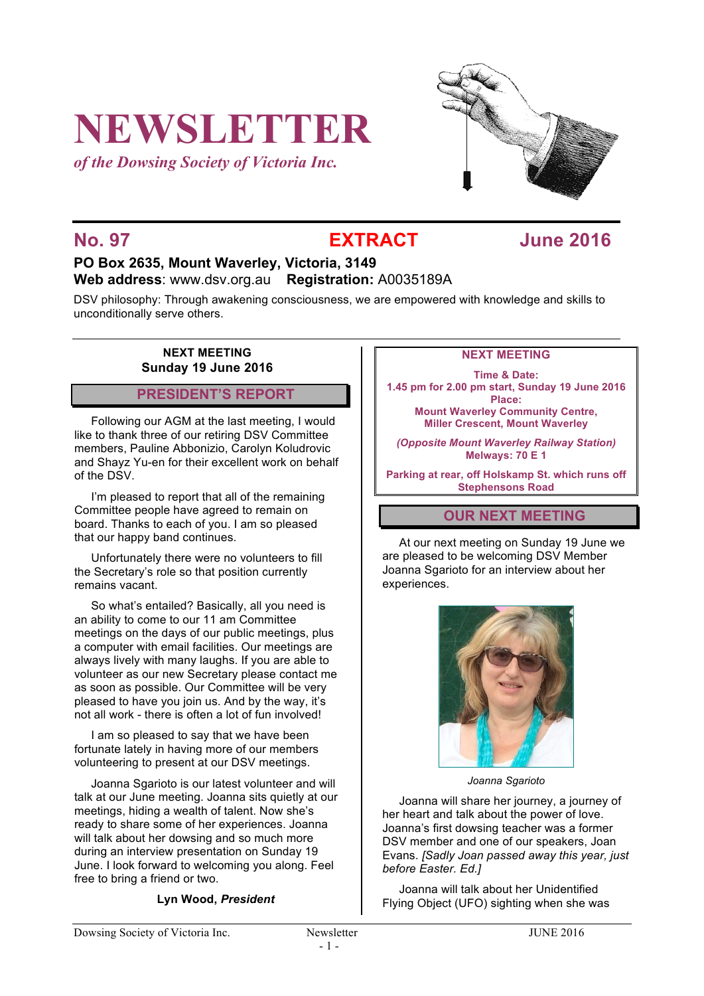# **NEWSLETTER**

*of the Dowsing Society of Victoria Inc.*



## **No. 97 EXTRACT June 2016**

### **PO Box 2635, Mount Waverley, Victoria, 3149 Web address**: www.dsv.org.au **Registration:** A0035189A

DSV philosophy: Through awakening consciousness, we are empowered with knowledge and skills to unconditionally serve others.

#### **NEXT MEETING Sunday 19 June 2016**

#### **PRESIDENT'S REPORT**

Following our AGM at the last meeting, I would like to thank three of our retiring DSV Committee members, Pauline Abbonizio, Carolyn Koludrovic and Shayz Yu-en for their excellent work on behalf of the DSV.

I'm pleased to report that all of the remaining Committee people have agreed to remain on board. Thanks to each of you. I am so pleased that our happy band continues.

Unfortunately there were no volunteers to fill the Secretary's role so that position currently remains vacant.

So what's entailed? Basically, all you need is an ability to come to our 11 am Committee meetings on the days of our public meetings, plus a computer with email facilities. Our meetings are always lively with many laughs. If you are able to volunteer as our new Secretary please contact me as soon as possible. Our Committee will be very pleased to have you join us. And by the way, it's not all work - there is often a lot of fun involved!

I am so pleased to say that we have been fortunate lately in having more of our members volunteering to present at our DSV meetings.

Joanna Sgarioto is our latest volunteer and will talk at our June meeting. Joanna sits quietly at our meetings, hiding a wealth of talent. Now she's ready to share some of her experiences. Joanna will talk about her dowsing and so much more during an interview presentation on Sunday 19 June. I look forward to welcoming you along. Feel free to bring a friend or two.

**Lyn Wood,** *President*

#### **NEXT MEETING**

**Time & Date: 1.45 pm for 2.00 pm start, Sunday 19 June 2016 Place: Mount Waverley Community Centre,**

**Miller Crescent, Mount Waverley**

*(Opposite Mount Waverley Railway Station)* **Melways: 70 E 1**

**Parking at rear, off Holskamp St. which runs off Stephensons Road**

### **OUR NEXT MEETING**

At our next meeting on Sunday 19 June we are pleased to be welcoming DSV Member Joanna Sgarioto for an interview about her experiences.



*Joanna Sgarioto*

Joanna will share her journey, a journey of her heart and talk about the power of love. Joanna's first dowsing teacher was a former DSV member and one of our speakers, Joan Evans. *[Sadly Joan passed away this year, just before Easter. Ed.]*

Joanna will talk about her Unidentified Flying Object (UFO) sighting when she was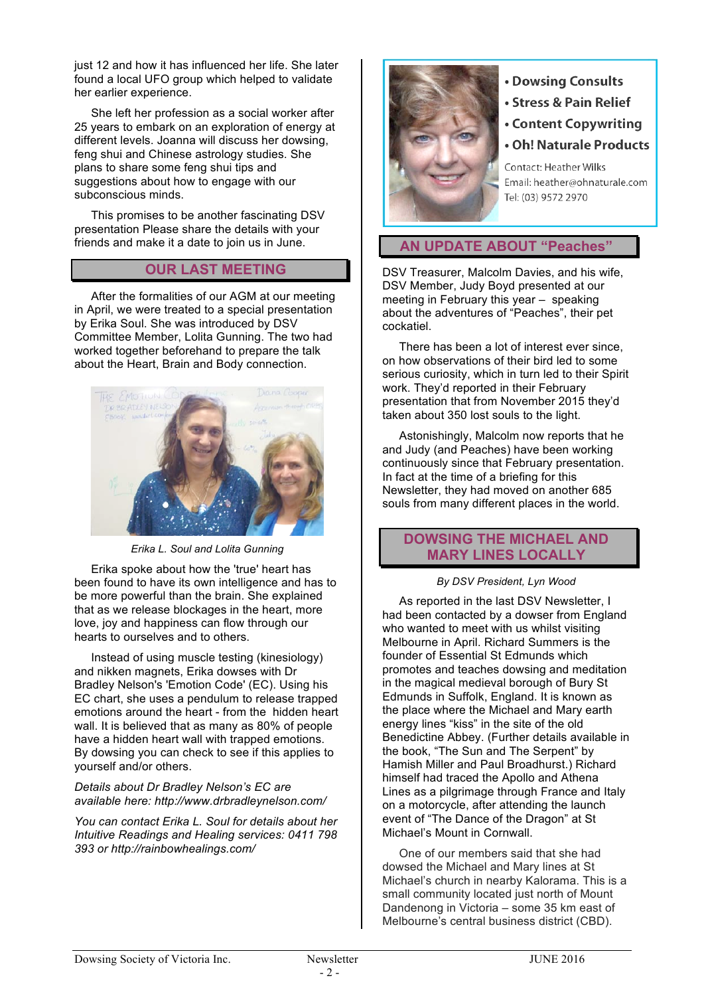just 12 and how it has influenced her life. She later found a local UFO group which helped to validate her earlier experience.

She left her profession as a social worker after 25 years to embark on an exploration of energy at different levels. Joanna will discuss her dowsing, feng shui and Chinese astrology studies. She plans to share some feng shui tips and suggestions about how to engage with our subconscious minds.

This promises to be another fascinating DSV presentation Please share the details with your friends and make it a date to join us in June.

#### **OUR LAST MEETING**

After the formalities of our AGM at our meeting in April, we were treated to a special presentation by Erika Soul. She was introduced by DSV Committee Member, Lolita Gunning. The two had worked together beforehand to prepare the talk about the Heart, Brain and Body connection.



*Erika L. Soul and Lolita Gunning*

Erika spoke about how the 'true' heart has been found to have its own intelligence and has to be more powerful than the brain. She explained that as we release blockages in the heart, more love, joy and happiness can flow through our hearts to ourselves and to others.

Instead of using muscle testing (kinesiology) and nikken magnets, Erika dowses with Dr Bradley Nelson's 'Emotion Code' (EC). Using his EC chart, she uses a pendulum to release trapped emotions around the heart - from the hidden heart wall. It is believed that as many as 80% of people have a hidden heart wall with trapped emotions. By dowsing you can check to see if this applies to yourself and/or others.

#### *Details about Dr Bradley Nelson's EC are available here: http://www.drbradleynelson.com/*

*You can contact Erika L. Soul for details about her Intuitive Readings and Healing services: 0411 798 393 or http://rainbowhealings.com/*



- Dowsing Consults
- Stress & Pain Relief
- Content Copywriting
- Oh! Naturale Products

Contact: Heather Wilks Email: heather@ohnaturale.com Tel: (03) 9572 2970

#### **AN UPDATE ABOUT "Peaches"**

DSV Treasurer, Malcolm Davies, and his wife, DSV Member, Judy Boyd presented at our meeting in February this year – speaking about the adventures of "Peaches", their pet cockatiel.

There has been a lot of interest ever since, on how observations of their bird led to some serious curiosity, which in turn led to their Spirit work. They'd reported in their February presentation that from November 2015 they'd taken about 350 lost souls to the light.

Astonishingly, Malcolm now reports that he and Judy (and Peaches) have been working continuously since that February presentation. In fact at the time of a briefing for this Newsletter, they had moved on another 685 souls from many different places in the world.

#### **DOWSING THE MICHAEL AND MARY LINES LOCALLY**

#### *By DSV President, Lyn Wood*

As reported in the last DSV Newsletter, I had been contacted by a dowser from England who wanted to meet with us whilst visiting Melbourne in April. Richard Summers is the founder of Essential St Edmunds which promotes and teaches dowsing and meditation in the magical medieval borough of Bury St Edmunds in Suffolk, England. It is known as the place where the Michael and Mary earth energy lines "kiss" in the site of the old Benedictine Abbey. (Further details available in the book, "The Sun and The Serpent" by Hamish Miller and Paul Broadhurst.) Richard himself had traced the Apollo and Athena Lines as a pilgrimage through France and Italy on a motorcycle, after attending the launch event of "The Dance of the Dragon" at St Michael's Mount in Cornwall.

One of our members said that she had dowsed the Michael and Mary lines at St Michael's church in nearby Kalorama. This is a small community located just north of Mount Dandenong in Victoria – some 35 km east of Melbourne's central business district (CBD).